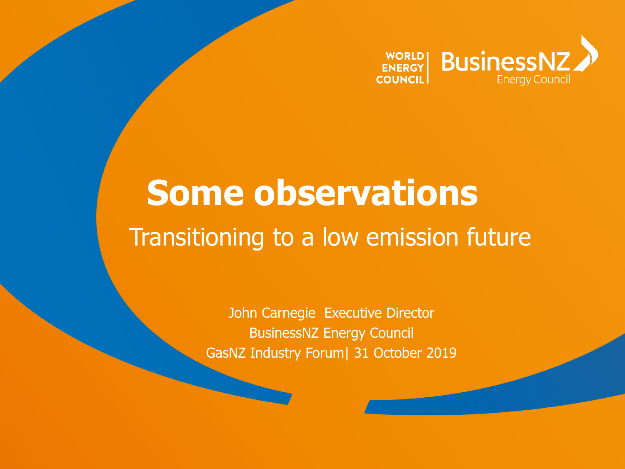

# **Some observations** Transitioning to a low emission future

John Carnegie Executive Director BusinessNZ Energy Council GasNZ Industry Forum| 31 October 2019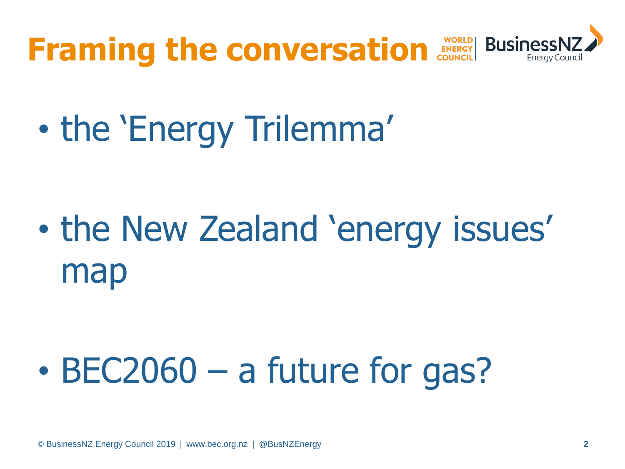

• the 'Energy Trilemma'

• the New Zealand 'energy issues' map

• BEC2060 – a future for gas?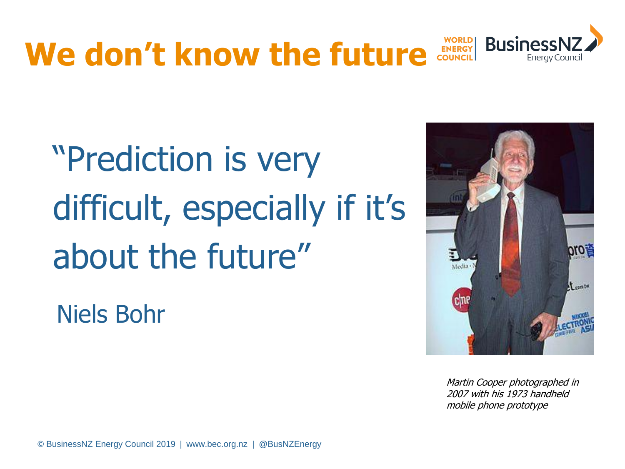

# "Prediction is very difficult, especially if it's about the future"

Niels Bohr



Martin Cooper photographed in 2007 with his 1973 handheld mobile phone prototype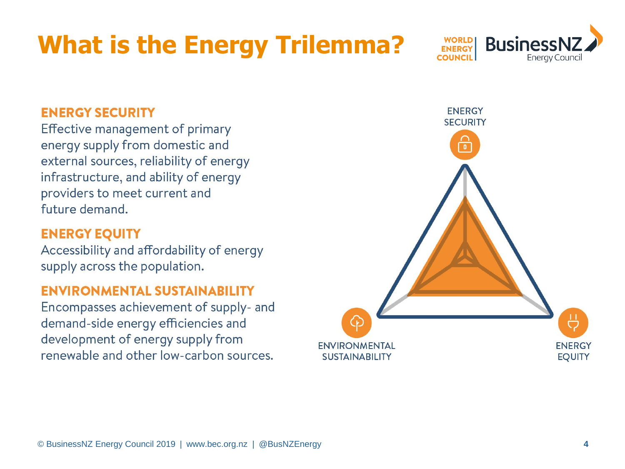### **What is the Energy Trilemma?**



#### **ENERGY SECURITY**

Effective management of primary energy supply from domestic and external sources, reliability of energy infrastructure, and ability of energy providers to meet current and future demand.

#### **ENERGY EQUITY**

Accessibility and affordability of energy supply across the population.

#### **ENVIRONMENTAL SUSTAINABILITY**

Encompasses achievement of supply- and demand-side energy efficiencies and development of energy supply from renewable and other low-carbon sources.

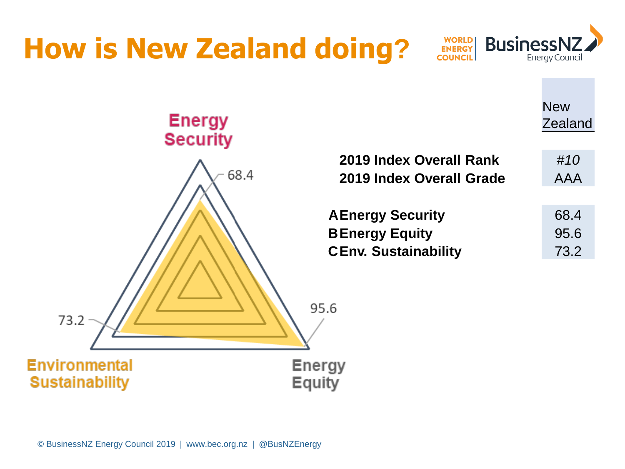### **How is New Zealand doing?**



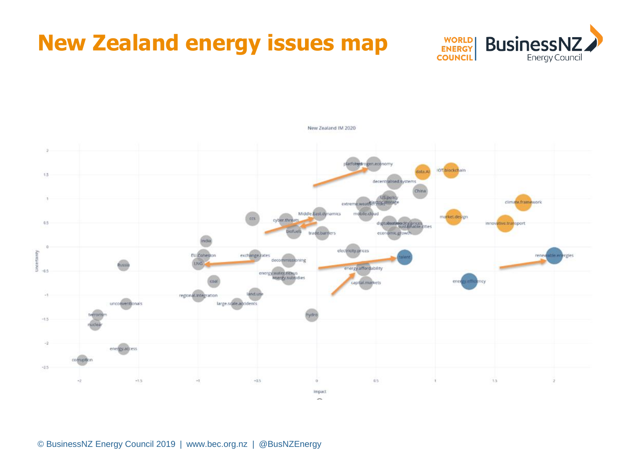### New Zealand IM 2020

**New Zealand energy issues map**

latformul ogen.econo **IOT** blockchain date Al 1.5 decentralised system China **IS pot** extreme.weatherer.aton climate.framework Middle East dynamics bile clo inflort de cyber.threats  $0.5$ ndt electricity.prices erainty **EU** Cohesion exchange rates ren decommissioning **LING** .<br>Russi š energy affordability  $-0.5$ energy water nexus<br>energy subsidies capital.markets regional.integration  $-1$ unconventionals large.scale.accidents  $-1.5$ 5 energy access comuption  $-2.5$  $1.5$  $-1.5$  $0.5$  $\sim\!1$  $-0.5$  $\mathbf{1}$  $\mathbb Z$  $+2$ Impact

© BusinessNZ Energy Council 2019 | www.bec.org.nz | @BusNZEnergy

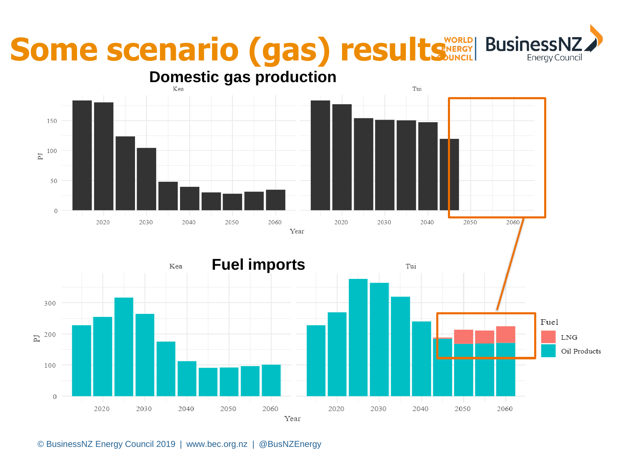# **Some scenario (gas) results** MARIAN BUSINESS



**Energy Counci**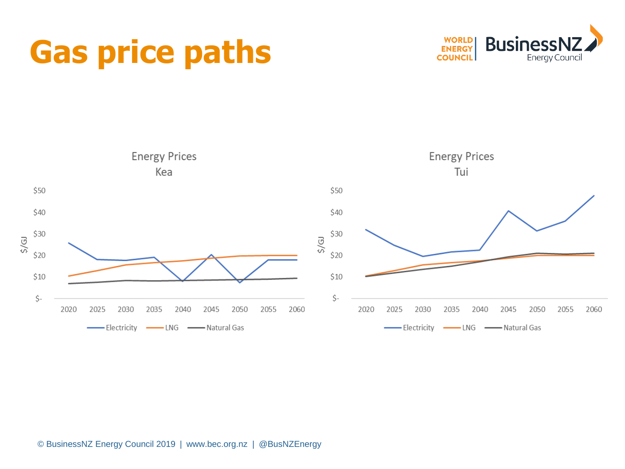## **Gas price paths**